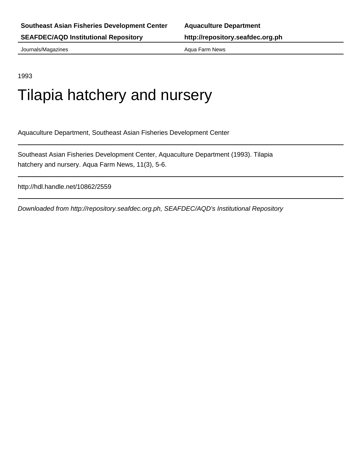Journals/Magazines **Aqua Farm News** Aqua Farm News

1993

# Tilapia hatchery and nursery

Aquaculture Department, Southeast Asian Fisheries Development Center

Southeast Asian Fisheries Development Center, Aquaculture Department (1993). Tilapia hatchery and nursery. Aqua Farm News, 11(3), 5-6.

http://hdl.handle.net/10862/2559

Downloaded from http://repository.seafdec.org.ph, SEAFDEC/AQD's Institutional Repository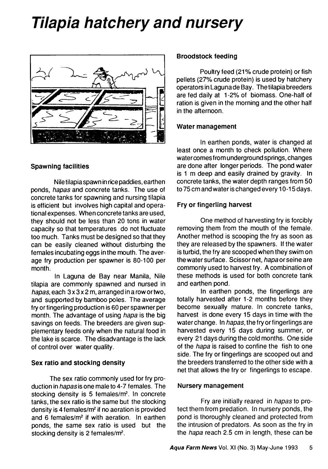# *Tilapia hatchery and nursery*



#### **Spawning facilities**

Nile tilapia spawn in rice paddies, earthen ponds, *hapas* and concrete tanks. The use of concrete tanks for spawning and nursing tilapia is efficient but involves high capital and operational expenses. When concrete tanks are used, they should not be less than 20 tons in water capacity so that temperatures do not fluctuate too much. Tanks must be designed so that they can be easily cleaned without disturbing the females incubating eggs in the mouth. The average fry production per spawner is 80-100 per month.

In Laguna de Bay near Manila, Nile tilapia are commonly spawned and nursed in *hapas*, each 3 x 3 x 2 m, arranged in a row or two, and supported by bamboo poles. The average fry or fingerling production is 60 per spawner per month. The advantage of using *hapa* is the big savings on feeds. The breeders are given supplementary feeds only when the natural food in the lake is scarce. The disadvantage is the lack of control over water quality.

## **Sex ratio and stocking density**

The sex ratio commonly used for fry production in *hapas* is one male to 4-7 females. The stocking density is 5 females/m2. In concrete tanks, the sex ratio is the same but the stocking density is 4 females/m2 if no aeration is provided and 6 females/m<sup>2</sup> if with aeration. In earthen ponds, the same sex ratio is used but the stocking density is 2 females/m2.

#### **Broodstock feeding**

Poultry feed (21% crude protein) or fish pellets (27% crude protein) is used by hatchery operators in Laguna de Bay. The tilapia breeders are fed daily at 1 -2% of biomass. One-half of ration is given in the morning and the other half in the afternoon.

#### **Water management**

In earthen ponds, water is changed at least once a month to check pollution. Where water comes from underground springs, changes are done after longer periods. The pond water is 1 m deep and easily drained by gravity. In concrete tanks, the water depth ranges from 50 to 75 cm and water is changed every 10-15 days.

## **Fry or fingerling harvest**

One method of harvesting fry is forcibly removing them from the mouth of the female. Another method is scooping the fry as soon as they are released by the spawners. If the water is turbid, the fry are scooped when they swim on the water surface. Scissor net, *hapa* or seine are commonly used to harvest fry. A combination of these methods is used for both concrete tank and earthen pond.

In earthen ponds, the fingerlings are totally harvested after 1-2 months before they become sexually mature. In concrete tanks, harvest is done every 15 days in time with the water change. In *hapas,* the fry or fingerlings are harvested every 15 days during summer, or every 21 days during the cold months. One side of the *hapa* is raised to confine the fish to one side. The fry or fingerlings are scooped out and the breeders transferred to the other side with a net that allows the fry or fingerlings to escape.

#### **Nursery management**

Fry are initially reared in *hapas* to protect them from predation. In nursery ponds, the pond is thoroughly cleaned and protected from the intrusion of predators. As soon as the fry in the *hapa* reach 2.5 cm in length, these can be